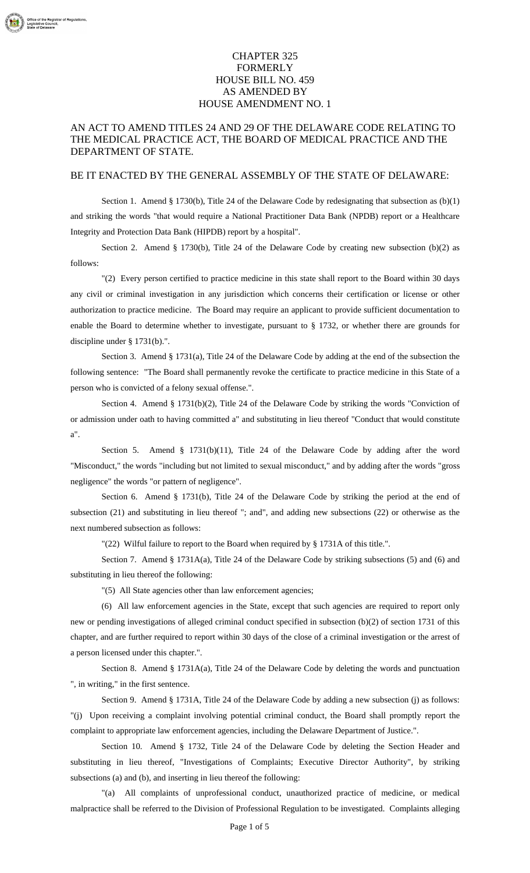## CHAPTER 325 FORMERLY HOUSE BILL NO. 459 AS AMENDED BY HOUSE AMENDMENT NO. 1

## AN ACT TO AMEND TITLES 24 AND 29 OF THE DELAWARE CODE RELATING TO THE MEDICAL PRACTICE ACT, THE BOARD OF MEDICAL PRACTICE AND THE DEPARTMENT OF STATE.

## BE IT ENACTED BY THE GENERAL ASSEMBLY OF THE STATE OF DELAWARE:

Section 1. Amend § 1730(b), Title 24 of the Delaware Code by redesignating that subsection as  $(b)(1)$ and striking the words "that would require a National Practitioner Data Bank (NPDB) report or a Healthcare Integrity and Protection Data Bank (HIPDB) report by a hospital".

Section 2. Amend § 1730(b), Title 24 of the Delaware Code by creating new subsection (b)(2) as follows:

"(2) Every person certified to practice medicine in this state shall report to the Board within 30 days any civil or criminal investigation in any jurisdiction which concerns their certification or license or other authorization to practice medicine. The Board may require an applicant to provide sufficient documentation to enable the Board to determine whether to investigate, pursuant to § 1732, or whether there are grounds for discipline under § 1731(b).".

Section 3. Amend § 1731(a), Title 24 of the Delaware Code by adding at the end of the subsection the following sentence: "The Board shall permanently revoke the certificate to practice medicine in this State of a person who is convicted of a felony sexual offense.".

Section 4. Amend § 1731(b)(2), Title 24 of the Delaware Code by striking the words "Conviction of or admission under oath to having committed a" and substituting in lieu thereof "Conduct that would constitute a".

Section 5. Amend § 1731(b)(11), Title 24 of the Delaware Code by adding after the word "Misconduct," the words "including but not limited to sexual misconduct," and by adding after the words "gross negligence" the words "or pattern of negligence".

Section 6. Amend § 1731(b), Title 24 of the Delaware Code by striking the period at the end of subsection (21) and substituting in lieu thereof "; and", and adding new subsections (22) or otherwise as the next numbered subsection as follows:

"(22) Wilful failure to report to the Board when required by § 1731A of this title.".

Section 7. Amend § 1731A(a), Title 24 of the Delaware Code by striking subsections (5) and (6) and substituting in lieu thereof the following:

"(5) All State agencies other than law enforcement agencies;

(6) All law enforcement agencies in the State, except that such agencies are required to report only new or pending investigations of alleged criminal conduct specified in subsection (b)(2) of section 1731 of this chapter, and are further required to report within 30 days of the close of a criminal investigation or the arrest of a person licensed under this chapter.".

Section 8. Amend § 1731A(a), Title 24 of the Delaware Code by deleting the words and punctuation ", in writing," in the first sentence.

Section 9. Amend § 1731A, Title 24 of the Delaware Code by adding a new subsection (j) as follows: "(j) Upon receiving a complaint involving potential criminal conduct, the Board shall promptly report the complaint to appropriate law enforcement agencies, including the Delaware Department of Justice.".

Section 10. Amend § 1732, Title 24 of the Delaware Code by deleting the Section Header and substituting in lieu thereof, "Investigations of Complaints; Executive Director Authority", by striking subsections (a) and (b), and inserting in lieu thereof the following:

"(a) All complaints of unprofessional conduct, unauthorized practice of medicine, or medical malpractice shall be referred to the Division of Professional Regulation to be investigated. Complaints alleging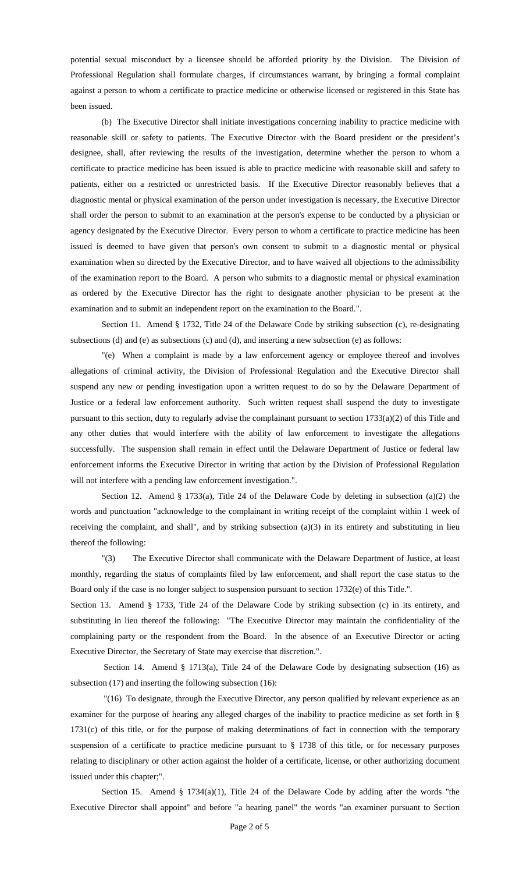potential sexual misconduct by a licensee should be afforded priority by the Division. The Division of Professional Regulation shall formulate charges, if circumstances warrant, by bringing a formal complaint against a person to whom a certificate to practice medicine or otherwise licensed or registered in this State has been issued.

(b) The Executive Director shall initiate investigations concerning inability to practice medicine with reasonable skill or safety to patients. The Executive Director with the Board president or the president's designee, shall, after reviewing the results of the investigation, determine whether the person to whom a certificate to practice medicine has been issued is able to practice medicine with reasonable skill and safety to patients, either on a restricted or unrestricted basis. If the Executive Director reasonably believes that a diagnostic mental or physical examination of the person under investigation is necessary, the Executive Director shall order the person to submit to an examination at the person's expense to be conducted by a physician or agency designated by the Executive Director. Every person to whom a certificate to practice medicine has been issued is deemed to have given that person's own consent to submit to a diagnostic mental or physical examination when so directed by the Executive Director, and to have waived all objections to the admissibility of the examination report to the Board. A person who submits to a diagnostic mental or physical examination as ordered by the Executive Director has the right to designate another physician to be present at the examination and to submit an independent report on the examination to the Board.".

Section 11. Amend § 1732, Title 24 of the Delaware Code by striking subsection (c), re-designating subsections (d) and (e) as subsections (c) and (d), and inserting a new subsection (e) as follows:

"(e) When a complaint is made by a law enforcement agency or employee thereof and involves allegations of criminal activity, the Division of Professional Regulation and the Executive Director shall suspend any new or pending investigation upon a written request to do so by the Delaware Department of Justice or a federal law enforcement authority. Such written request shall suspend the duty to investigate pursuant to this section, duty to regularly advise the complainant pursuant to section 1733(a)(2) of this Title and any other duties that would interfere with the ability of law enforcement to investigate the allegations successfully. The suspension shall remain in effect until the Delaware Department of Justice or federal law enforcement informs the Executive Director in writing that action by the Division of Professional Regulation will not interfere with a pending law enforcement investigation.".

Section 12. Amend § 1733(a), Title 24 of the Delaware Code by deleting in subsection (a)(2) the words and punctuation "acknowledge to the complainant in writing receipt of the complaint within 1 week of receiving the complaint, and shall", and by striking subsection (a)(3) in its entirety and substituting in lieu thereof the following:

"(3) The Executive Director shall communicate with the Delaware Department of Justice, at least monthly, regarding the status of complaints filed by law enforcement, and shall report the case status to the Board only if the case is no longer subject to suspension pursuant to section 1732(e) of this Title.".

Section 13. Amend § 1733, Title 24 of the Delaware Code by striking subsection (c) in its entirety, and substituting in lieu thereof the following: "The Executive Director may maintain the confidentiality of the complaining party or the respondent from the Board. In the absence of an Executive Director or acting Executive Director, the Secretary of State may exercise that discretion.".

Section 14. Amend § 1713(a), Title 24 of the Delaware Code by designating subsection (16) as subsection (17) and inserting the following subsection (16):

 "(16) To designate, through the Executive Director, any person qualified by relevant experience as an examiner for the purpose of hearing any alleged charges of the inability to practice medicine as set forth in § 1731(c) of this title, or for the purpose of making determinations of fact in connection with the temporary suspension of a certificate to practice medicine pursuant to § 1738 of this title, or for necessary purposes relating to disciplinary or other action against the holder of a certificate, license, or other authorizing document issued under this chapter;".

Section 15. Amend § 1734(a)(1), Title 24 of the Delaware Code by adding after the words "the Executive Director shall appoint" and before "a hearing panel" the words "an examiner pursuant to Section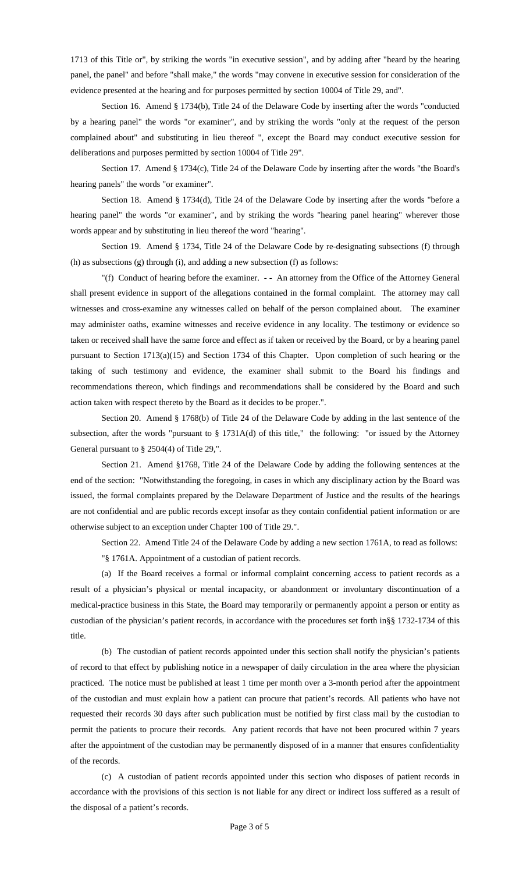1713 of this Title or", by striking the words "in executive session", and by adding after "heard by the hearing panel, the panel" and before "shall make," the words "may convene in executive session for consideration of the evidence presented at the hearing and for purposes permitted by section 10004 of Title 29, and".

Section 16. Amend § 1734(b), Title 24 of the Delaware Code by inserting after the words "conducted by a hearing panel" the words "or examiner", and by striking the words "only at the request of the person complained about" and substituting in lieu thereof ", except the Board may conduct executive session for deliberations and purposes permitted by section 10004 of Title 29".

Section 17. Amend § 1734(c), Title 24 of the Delaware Code by inserting after the words "the Board's hearing panels" the words "or examiner".

Section 18. Amend § 1734(d), Title 24 of the Delaware Code by inserting after the words "before a hearing panel" the words "or examiner", and by striking the words "hearing panel hearing" wherever those words appear and by substituting in lieu thereof the word "hearing".

Section 19. Amend § 1734, Title 24 of the Delaware Code by re-designating subsections (f) through (h) as subsections (g) through (i), and adding a new subsection (f) as follows:

"(f) Conduct of hearing before the examiner. - - An attorney from the Office of the Attorney General shall present evidence in support of the allegations contained in the formal complaint. The attorney may call witnesses and cross-examine any witnesses called on behalf of the person complained about. The examiner may administer oaths, examine witnesses and receive evidence in any locality. The testimony or evidence so taken or received shall have the same force and effect as if taken or received by the Board, or by a hearing panel pursuant to Section 1713(a)(15) and Section 1734 of this Chapter. Upon completion of such hearing or the taking of such testimony and evidence, the examiner shall submit to the Board his findings and recommendations thereon, which findings and recommendations shall be considered by the Board and such action taken with respect thereto by the Board as it decides to be proper.".

Section 20. Amend § 1768(b) of Title 24 of the Delaware Code by adding in the last sentence of the subsection, after the words "pursuant to § 1731A(d) of this title," the following: "or issued by the Attorney General pursuant to § 2504(4) of Title 29,".

Section 21. Amend §1768, Title 24 of the Delaware Code by adding the following sentences at the end of the section: "Notwithstanding the foregoing, in cases in which any disciplinary action by the Board was issued, the formal complaints prepared by the Delaware Department of Justice and the results of the hearings are not confidential and are public records except insofar as they contain confidential patient information or are otherwise subject to an exception under Chapter 100 of Title 29.".

Section 22. Amend Title 24 of the Delaware Code by adding a new section 1761A, to read as follows: "§ 1761A. Appointment of a custodian of patient records.

(a) If the Board receives a formal or informal complaint concerning access to patient records as a result of a physician's physical or mental incapacity, or abandonment or involuntary discontinuation of a medical-practice business in this State, the Board may temporarily or permanently appoint a person or entity as custodian of the physician's patient records, in accordance with the procedures set forth in§§ 1732-1734 of this title.

(b) The custodian of patient records appointed under this section shall notify the physician's patients of record to that effect by publishing notice in a newspaper of daily circulation in the area where the physician practiced. The notice must be published at least 1 time per month over a 3-month period after the appointment of the custodian and must explain how a patient can procure that patient's records. All patients who have not requested their records 30 days after such publication must be notified by first class mail by the custodian to permit the patients to procure their records. Any patient records that have not been procured within 7 years after the appointment of the custodian may be permanently disposed of in a manner that ensures confidentiality of the records.

(c) A custodian of patient records appointed under this section who disposes of patient records in accordance with the provisions of this section is not liable for any direct or indirect loss suffered as a result of the disposal of a patient's records.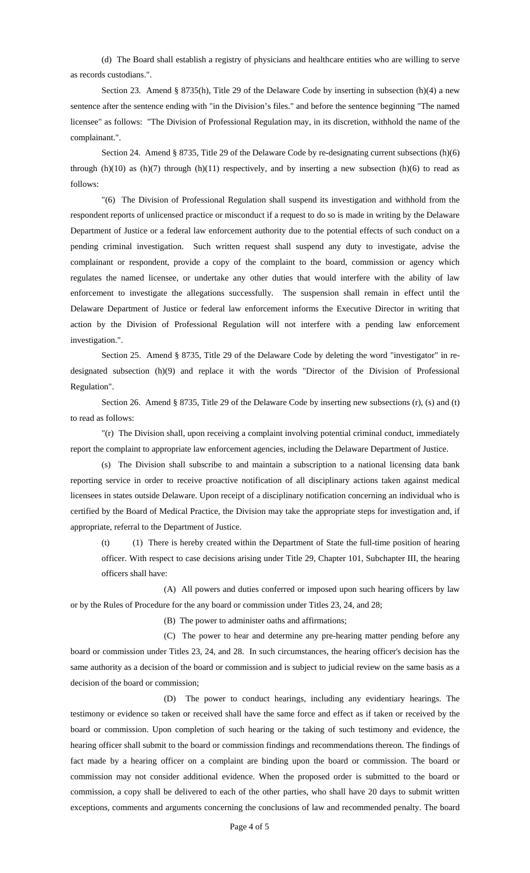(d) The Board shall establish a registry of physicians and healthcare entities who are willing to serve as records custodians.".

Section 23. Amend § 8735(h), Title 29 of the Delaware Code by inserting in subsection (h)(4) a new sentence after the sentence ending with "in the Division's files." and before the sentence beginning "The named licensee" as follows: "The Division of Professional Regulation may, in its discretion, withhold the name of the complainant.".

Section 24. Amend § 8735, Title 29 of the Delaware Code by re-designating current subsections (h)(6) through  $(h)(10)$  as  $(h)(7)$  through  $(h)(11)$  respectively, and by inserting a new subsection  $(h)(6)$  to read as follows:

"(6) The Division of Professional Regulation shall suspend its investigation and withhold from the respondent reports of unlicensed practice or misconduct if a request to do so is made in writing by the Delaware Department of Justice or a federal law enforcement authority due to the potential effects of such conduct on a pending criminal investigation. Such written request shall suspend any duty to investigate, advise the complainant or respondent, provide a copy of the complaint to the board, commission or agency which regulates the named licensee, or undertake any other duties that would interfere with the ability of law enforcement to investigate the allegations successfully. The suspension shall remain in effect until the Delaware Department of Justice or federal law enforcement informs the Executive Director in writing that action by the Division of Professional Regulation will not interfere with a pending law enforcement investigation.".

Section 25. Amend § 8735, Title 29 of the Delaware Code by deleting the word "investigator" in redesignated subsection (h)(9) and replace it with the words "Director of the Division of Professional Regulation".

Section 26. Amend § 8735, Title 29 of the Delaware Code by inserting new subsections (r), (s) and (t) to read as follows:

"(r) The Division shall, upon receiving a complaint involving potential criminal conduct, immediately report the complaint to appropriate law enforcement agencies, including the Delaware Department of Justice.

(s) The Division shall subscribe to and maintain a subscription to a national licensing data bank reporting service in order to receive proactive notification of all disciplinary actions taken against medical licensees in states outside Delaware. Upon receipt of a disciplinary notification concerning an individual who is certified by the Board of Medical Practice, the Division may take the appropriate steps for investigation and, if appropriate, referral to the Department of Justice.

(t) (1) There is hereby created within the Department of State the full-time position of hearing officer. With respect to case decisions arising under Title 29, Chapter 101, Subchapter III, the hearing officers shall have:

 (A) All powers and duties conferred or imposed upon such hearing officers by law or by the Rules of Procedure for the any board or commission under Titles 23, 24, and 28;

(B) The power to administer oaths and affirmations;

 (C) The power to hear and determine any pre-hearing matter pending before any board or commission under Titles 23, 24, and 28. In such circumstances, the hearing officer's decision has the same authority as a decision of the board or commission and is subject to judicial review on the same basis as a decision of the board or commission;

 (D) The power to conduct hearings, including any evidentiary hearings. The testimony or evidence so taken or received shall have the same force and effect as if taken or received by the board or commission. Upon completion of such hearing or the taking of such testimony and evidence, the hearing officer shall submit to the board or commission findings and recommendations thereon. The findings of fact made by a hearing officer on a complaint are binding upon the board or commission. The board or commission may not consider additional evidence. When the proposed order is submitted to the board or commission, a copy shall be delivered to each of the other parties, who shall have 20 days to submit written exceptions, comments and arguments concerning the conclusions of law and recommended penalty. The board